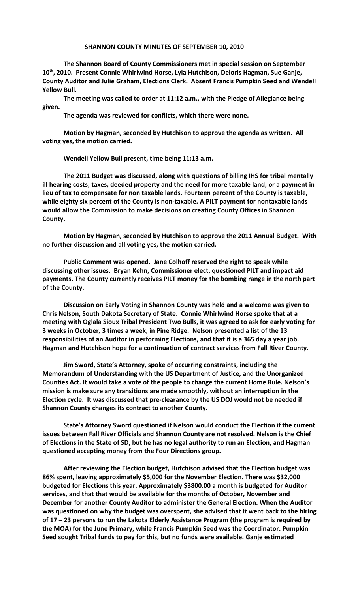## **SHANNON COUNTY MINUTES OF SEPTEMBER 10, 2010**

**The Shannon Board of County Commissioners met in special session on September 10th, 2010. Present Connie Whirlwind Horse, Lyla Hutchison, Deloris Hagman, Sue Ganje, County Auditor and Julie Graham, Elections Clerk. Absent Francis Pumpkin Seed and Wendell Yellow Bull.**

**The meeting was called to order at 11:12 a.m., with the Pledge of Allegiance being given.**

**The agenda was reviewed for conflicts, which there were none.**

**Motion by Hagman, seconded by Hutchison to approve the agenda as written. All voting yes, the motion carried.**

**Wendell Yellow Bull present, time being 11:13 a.m.**

**The 2011 Budget was discussed, along with questions of billing IHS for tribal mentally ill hearing costs; taxes, deeded property and the need for more taxable land, or a payment in lieu of tax to compensate for non taxable lands. Fourteen percent of the County is taxable, while eighty six percent of the County is non-taxable. A PILT payment for nontaxable lands would allow the Commission to make decisions on creating County Offices in Shannon County.** 

**Motion by Hagman, seconded by Hutchison to approve the 2011 Annual Budget. With no further discussion and all voting yes, the motion carried.**

**Public Comment was opened. Jane Colhoff reserved the right to speak while discussing other issues. Bryan Kehn, Commissioner elect, questioned PILT and impact aid payments. The County currently receives PILT money for the bombing range in the north part of the County.**

**Discussion on Early Voting in Shannon County was held and a welcome was given to Chris Nelson, South Dakota Secretary of State. Connie Whirlwind Horse spoke that at a meeting with Oglala Sioux Tribal President Two Bulls, it was agreed to ask for early voting for 3 weeks in October, 3 times a week, in Pine Ridge. Nelson presented a list of the 13 responsibilities of an Auditor in performing Elections, and that it is a 365 day a year job. Hagman and Hutchison hope for a continuation of contract services from Fall River County.** 

**Jim Sword, State's Attorney, spoke of occurring constraints, including the Memorandum of Understanding with the US Department of Justice, and the Unorganized Counties Act. It would take a vote of the people to change the current Home Rule. Nelson's mission is make sure any transitions are made smoothly, without an interruption in the Election cycle. It was discussed that pre-clearance by the US DOJ would not be needed if Shannon County changes its contract to another County.**

**State's Attorney Sword questioned if Nelson would conduct the Election if the current issues between Fall River Officials and Shannon County are not resolved. Nelson is the Chief of Elections in the State of SD, but he has no legal authority to run an Election, and Hagman questioned accepting money from the Four Directions group.** 

**After reviewing the Election budget, Hutchison advised that the Election budget was 86% spent, leaving approximately \$5,000 for the November Election. There was \$32,000 budgeted for Elections this year. Approximately \$3800.00 a month is budgeted for Auditor services, and that that would be available for the months of October, November and December for another County Auditor to administer the General Election. When the Auditor was questioned on why the budget was overspent, she advised that it went back to the hiring of 17 – 23 persons to run the Lakota Elderly Assistance Program (the program is required by the MOA) for the June Primary, while Francis Pumpkin Seed was the Coordinator. Pumpkin Seed sought Tribal funds to pay for this, but no funds were available. Ganje estimated**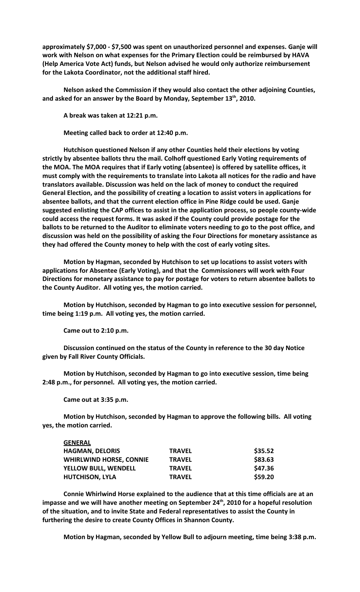**approximately \$7,000 - \$7,500 was spent on unauthorized personnel and expenses. Ganje will work with Nelson on what expenses for the Primary Election could be reimbursed by HAVA (Help America Vote Act) funds, but Nelson advised he would only authorize reimbursement for the Lakota Coordinator, not the additional staff hired.**

**Nelson asked the Commission if they would also contact the other adjoining Counties, and asked for an answer by the Board by Monday, September 13th, 2010.**

**A break was taken at 12:21 p.m.**

**Meeting called back to order at 12:40 p.m.**

**Hutchison questioned Nelson if any other Counties held their elections by voting strictly by absentee ballots thru the mail. Colhoff questioned Early Voting requirements of the MOA. The MOA requires that if Early voting (absentee) is offered by satellite offices, it must comply with the requirements to translate into Lakota all notices for the radio and have translators available. Discussion was held on the lack of money to conduct the required General Election, and the possibility of creating a location to assist voters in applications for absentee ballots, and that the current election office in Pine Ridge could be used. Ganje suggested enlisting the CAP offices to assist in the application process, so people county-wide could access the request forms. It was asked if the County could provide postage for the ballots to be returned to the Auditor to eliminate voters needing to go to the post office, and discussion was held on the possibility of asking the Four Directions for monetary assistance as they had offered the County money to help with the cost of early voting sites.** 

**Motion by Hagman, seconded by Hutchison to set up locations to assist voters with applications for Absentee (Early Voting), and that the Commissioners will work with Four Directions for monetary assistance to pay for postage for voters to return absentee ballots to the County Auditor. All voting yes, the motion carried.**

**Motion by Hutchison, seconded by Hagman to go into executive session for personnel, time being 1:19 p.m. All voting yes, the motion carried.**

**Came out to 2:10 p.m.**

**Discussion continued on the status of the County in reference to the 30 day Notice given by Fall River County Officials.** 

**Motion by Hutchison, seconded by Hagman to go into executive session, time being 2:48 p.m., for personnel. All voting yes, the motion carried.**

**Came out at 3:35 p.m.**

**Motion by Hutchison, seconded by Hagman to approve the following bills. All voting yes, the motion carried.**

| GENERAL                        |               |         |
|--------------------------------|---------------|---------|
| <b>HAGMAN, DELORIS</b>         | <b>TRAVEL</b> | \$35.52 |
| <b>WHIRLWIND HORSE, CONNIE</b> | <b>TRAVEL</b> | \$83.63 |
| <b>YELLOW BULL, WENDELL</b>    | <b>TRAVEL</b> | \$47.36 |
| <b>HUTCHISON, LYLA</b>         | <b>TRAVEL</b> | \$59.20 |
|                                |               |         |

**Connie Whirlwind Horse explained to the audience that at this time officials are at an impasse and we will have another meeting on September 24th, 2010 for a hopeful resolution of the situation, and to invite State and Federal representatives to assist the County in furthering the desire to create County Offices in Shannon County.**

**Motion by Hagman, seconded by Yellow Bull to adjourn meeting, time being 3:38 p.m.**